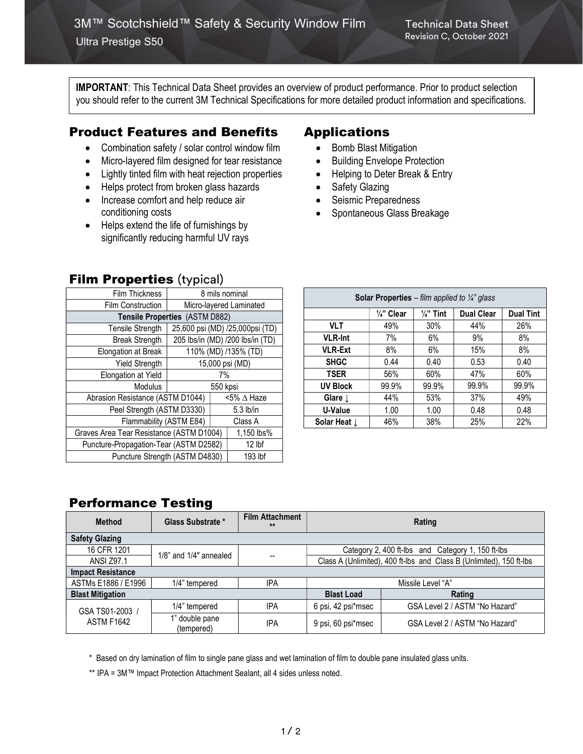IMPORTANT: This Technical Data Sheet provides an overview of product performance. Prior to product selection you should refer to the current 3M Technical Specifications for more detailed product information and specifications.

## Product Features and Benefits

- Combination safety / solar control window film
- Micro-layered film designed for tear resistance
- Lightly tinted film with heat rejection properties
- Helps protect from broken glass hazards
- Increase comfort and help reduce air conditioning costs
- Helps extend the life of furnishings by significantly reducing harmful UV rays

**Film Properties (typical)** 

| $\cdots$ $\cdots$ $\cdots$ $\cdots$ $\cdots$ |  |                        |  |  |  |  |
|----------------------------------------------|--|------------------------|--|--|--|--|
| 8 mils nominal                               |  |                        |  |  |  |  |
| Micro-layered Laminated                      |  |                        |  |  |  |  |
| Tensile Properties (ASTM D882)               |  |                        |  |  |  |  |
| 25,600 psi (MD) /25,000psi (TD)              |  |                        |  |  |  |  |
| 205 lbs/in (MD) /200 lbs/in (TD)             |  |                        |  |  |  |  |
| 110% (MD) /135% (TD)                         |  |                        |  |  |  |  |
| 15,000 psi (MD)                              |  |                        |  |  |  |  |
| 7%                                           |  |                        |  |  |  |  |
| 550 kpsi                                     |  |                        |  |  |  |  |
| Abrasion Resistance (ASTM D1044)             |  | $5\%$ $\triangle$ Haze |  |  |  |  |
| Peel Strength (ASTM D3330)                   |  |                        |  |  |  |  |
| Flammability (ASTM E84)                      |  |                        |  |  |  |  |
| Graves Area Tear Resistance (ASTM D1004)     |  |                        |  |  |  |  |
| Puncture-Propagation-Tear (ASTM D2582)       |  |                        |  |  |  |  |
| Puncture Strength (ASTM D4830)               |  |                        |  |  |  |  |
|                                              |  |                        |  |  |  |  |

## Applications

- Bomb Blast Mitigation
- Building Envelope Protection
- Helping to Deter Break & Entry
- Safety Glazing
- Seismic Preparedness
- Spontaneous Glass Breakage

| <b>Solar Properties</b> – film applied to $\frac{1}{4}$ glass |                       |                      |                   |                  |  |  |  |  |
|---------------------------------------------------------------|-----------------------|----------------------|-------------------|------------------|--|--|--|--|
|                                                               | $\frac{1}{4}$ " Clear | $\frac{1}{4}$ " Tint | <b>Dual Clear</b> | <b>Dual Tint</b> |  |  |  |  |
| <b>VLT</b>                                                    | 49%                   | 30%                  | 44%               | 26%              |  |  |  |  |
| <b>VLR-Int</b>                                                | 7%                    | 6%                   | 9%                | 8%               |  |  |  |  |
| <b>VLR-Ext</b>                                                | 8%                    | 6%                   | 15%               | 8%               |  |  |  |  |
| <b>SHGC</b>                                                   | 0.44                  | 0.40                 | 0.53              | 0.40             |  |  |  |  |
| <b>TSER</b>                                                   | 56%                   | 60%                  | 47%               | 60%              |  |  |  |  |
| <b>UV Block</b>                                               | 99.9%                 | 99.9%                | 99.9%             | 99.9%            |  |  |  |  |
| Glare $\perp$                                                 | 44%                   | 53%                  | 37%               | 49%              |  |  |  |  |
| U-Value                                                       | 1.00                  | 1.00                 | 0.48              | 0.48             |  |  |  |  |
| Solar Heat L                                                  | 46%                   | 38%                  | 25%               | 22%              |  |  |  |  |

## Performance Testing

| <b>Method</b>                        | Glass Substrate *            | <b>Film Attachment</b><br>$**$ | Rating             |                                                                     |  |  |  |  |
|--------------------------------------|------------------------------|--------------------------------|--------------------|---------------------------------------------------------------------|--|--|--|--|
| <b>Safety Glazing</b>                |                              |                                |                    |                                                                     |  |  |  |  |
| 16 CFR 1201                          | $1/8$ " and $1/4$ " annealed |                                |                    | Category 2, 400 ft-lbs and Category 1, 150 ft-lbs                   |  |  |  |  |
| <b>ANSI Z97.1</b>                    |                              | $\overline{\phantom{a}}$       |                    | Class A (Unlimited), 400 ft-lbs and Class B (Unlimited), 150 ft-lbs |  |  |  |  |
| <b>Impact Resistance</b>             |                              |                                |                    |                                                                     |  |  |  |  |
| ASTMs E1886 / E1996                  | 1/4" tempered                | IPA                            | Missile Level "A"  |                                                                     |  |  |  |  |
| <b>Blast Mitigation</b>              |                              |                                | <b>Blast Load</b>  | Rating                                                              |  |  |  |  |
| GSA TS01-2003 /<br><b>ASTM F1642</b> | 1/4" tempered                | IPA                            | 6 psi, 42 psi*msec | GSA Level 2 / ASTM "No Hazard"                                      |  |  |  |  |
|                                      | 1" double pane<br>(tempered) | IPA                            | 9 psi, 60 psi*msec | GSA Level 2 / ASTM "No Hazard"                                      |  |  |  |  |

\* Based on dry lamination of film to single pane glass and wet lamination of film to double pane insulated glass units.

\*\* IPA = 3M™ Impact Protection Attachment Sealant, all 4 sides unless noted.